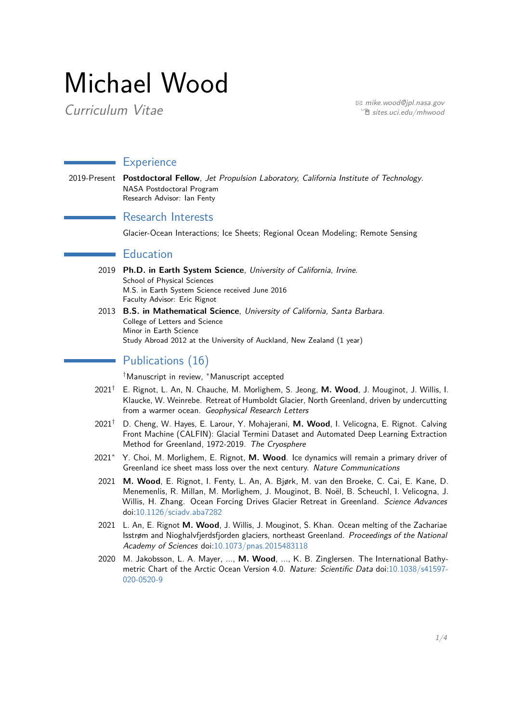# Michael Wood

Curriculum Vitae  $\overline{C}$  $\hat{e}$  [sites.uci.edu/mhwood](http://sites.uci.edu/mhwood/)

## **Experience**

2019-Present **Postdoctoral Fellow**, Jet Propulsion Laboratory, California Institute of Technology. NASA Postdoctoral Program Research Advisor: Ian Fenty

#### Research Interests

Glacier-Ocean Interactions; Ice Sheets; Regional Ocean Modeling; Remote Sensing

#### **Education**

- 2019 **Ph.D. in Earth System Science**, University of California, Irvine. School of Physical Sciences M.S. in Earth System Science received June 2016 Faculty Advisor: Eric Rignot
- 2013 **B.S. in Mathematical Science**, University of California, Santa Barbara. College of Letters and Science Minor in Earth Science Study Abroad 2012 at the University of Auckland, New Zealand (1 year)

# Publications (16)

†Manuscript in review, <sup>∗</sup>Manuscript accepted

- 2021† E. Rignot, L. An, N. Chauche, M. Morlighem, S. Jeong, **M. Wood**, J. Mouginot, J. Willis, I. Klaucke, W. Weinrebe. Retreat of Humboldt Glacier, North Greenland, driven by undercutting from a warmer ocean. Geophysical Research Letters
- 2021† D. Cheng, W. Hayes, E. Larour, Y. Mohajerani, **M. Wood**, I. Velicogna, E. Rignot. Calving Front Machine (CALFIN): Glacial Termini Dataset and Automated Deep Learning Extraction Method for Greenland, 1972-2019. The Cryosphere
- 2021<sup>∗</sup> Y. Choi, M. Morlighem, E. Rignot, **M. Wood**. Ice dynamics will remain a primary driver of Greenland ice sheet mass loss over the next century. Nature Communications
- 2021 **M. Wood**, E. Rignot, I. Fenty, L. An, A. Bjørk, M. van den Broeke, C. Cai, E. Kane, D. Menemenlis, R. Millan, M. Morlighem, J. Mouginot, B. Noël, B. Scheuchl, I. Velicogna, J. Willis, H. Zhang. Ocean Forcing Drives Glacier Retreat in Greenland. Science Advances doi[:10.1126/sciadv.aba7282](http://www.doi.org/10.1126/sciadv.aba7282)
- 2021 L. An, E. Rignot **M. Wood**, J. Willis, J. Mouginot, S. Khan. Ocean melting of the Zachariae Isstrøm and Nioghalvfjerdsfjorden glaciers, northeast Greenland. Proceedings of the National Academy of Sciences doi[:10.1073/pnas.2015483118](http://www.doi.org/10.1073/pnas.2015483118)
- 2020 M. Jakobsson, L. A. Mayer, ..., **M. Wood**, ..., K. B. Zinglersen. The International Bathymetric Chart of the Arctic Ocean Version 4.0. Nature: Scientific Data doi[:10.1038/s41597-](https://doi.org/10.1038/s41597-020-0520-9) [020-0520-9](https://doi.org/10.1038/s41597-020-0520-9)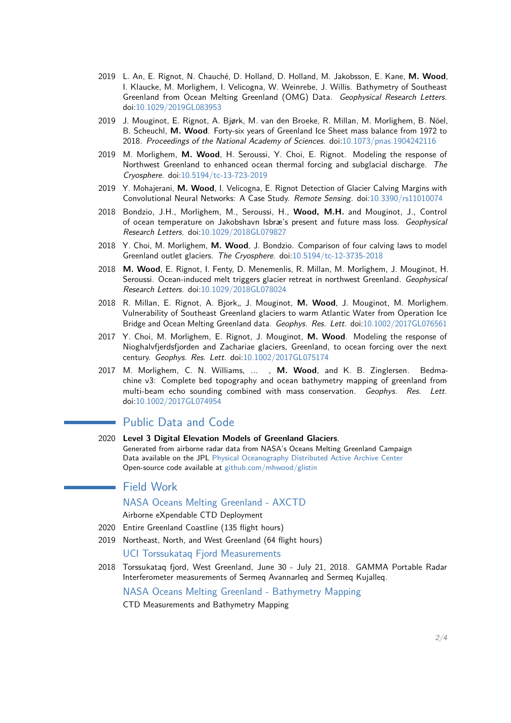- 2019 L. An, E. Rignot, N. Chauché, D. Holland, D. Holland, M. Jakobsson, E. Kane, **M. Wood**, I. Klaucke, M. Morlighem, I. Velicogna, W. Weinrebe, J. Willis. Bathymetry of Southeast Greenland from Ocean Melting Greenland (OMG) Data. Geophysical Research Letters. doi[:10.1029/2019GL083953](https://doi.org/10.1029/2019GL083953)
- 2019 J. Mouginot, E. Rignot, A. Bjørk, M. van den Broeke, R. Millan, M. Morlighem, B. Nöel, B. Scheuchl, **M. Wood**. Forty-six years of Greenland Ice Sheet mass balance from 1972 to 2018. Proceedings of the National Academy of Sciences. doi[:10.1073/pnas.1904242116](https://doi.org/10.1073/pnas.1904242116)
- 2019 M. Morlighem, **M. Wood**, H. Seroussi, Y. Choi, E. Rignot. Modeling the response of Northwest Greenland to enhanced ocean thermal forcing and subglacial discharge. The Cryosphere. doi[:10.5194/tc-13-723-2019](https://doi.org/10.5194/tc-13-723-2019)
- 2019 Y. Mohajerani, **M. Wood**, I. Velicogna, E. Rignot Detection of Glacier Calving Margins with Convolutional Neural Networks: A Case Study. Remote Sensing. doi[:10.3390/rs11010074](https://doi.org/10.3390/rs11010074)
- 2018 Bondzio, J.H., Morlighem, M., Seroussi, H., **Wood, M.H.** and Mouginot, J., Control of ocean temperature on Jakobshavn Isbræ's present and future mass loss. Geophysical Research Letters. doi[:10.1029/2018GL079827](https://doi.org/10.1029/2018GL079827)
- 2018 Y. Choi, M. Morlighem, **M. Wood**, J. Bondzio. Comparison of four calving laws to model Greenland outlet glaciers. The Cryosphere. doi[:10.5194/tc-12-3735-2018](https://doi.org/10.5194/tc-12-3735-2018)
- 2018 **M. Wood**, E. Rignot, I. Fenty, D. Menemenlis, R. Millan, M. Morlighem, J. Mouginot, H. Seroussi. Ocean-induced melt triggers glacier retreat in northwest Greenland. Geophysical Research Letters. doi[:10.1029/2018GL078024](https://doi.org/10.1029/2018GL078024)
- 2018 R. Millan, E. Rignot, A. Bjork,, J. Mouginot, M. Wood, J. Mouginot, M. Morlighem. Vulnerability of Southeast Greenland glaciers to warm Atlantic Water from Operation Ice Bridge and Ocean Melting Greenland data. Geophys. Res. Lett. doi[:10.1002/2017GL076561](https://doi.org/10.1002/2017GL076561)
- 2017 Y. Choi, M. Morlighem, E. Rignot, J. Mouginot, **M. Wood**. Modeling the response of Nioghalvfjerdsfjorden and Zachariae glaciers, Greenland, to ocean forcing over the next century. Geophys. Res. Lett. doi[:10.1002/2017GL075174](https://doi.org/10.1002/2017GL075174)
- 2017 M. Morlighem, C. N. Williams, ... , **M. Wood**, and K. B. Zinglersen. Bedmachine v3: Complete bed topography and ocean bathymetry mapping of greenland from multi-beam echo sounding combined with mass conservation. Geophys. Res. Lett. doi[:10.1002/2017GL074954](https://doi.org/10.1002/2017GL074954)

#### Public Data and Code

2020 **Level 3 Digital Elevation Models of Greenland Glaciers**. Generated from airborne radar data from NASA's Oceans Melting Greenland Campaign Data available on the JPL [Physical Oceanography Distributed Active Archive Center](https://podaac.jpl.nasa.gov/dataset/OMG_L3_ICE_ELEV_GLISTINA) Open-source code available at [github.com/mhwood/glistin](https://github.com/mhwood/glistin)

# Field Work

 $\sim 10$ 

NASA Oceans Melting Greenland - AXCTD Airborne eXpendable CTD Deployment

- 2020 Entire Greenland Coastline (135 flight hours)
- 2019 Northeast, North, and West Greenland (64 flight hours)

#### UCI Torssukataq Fjord Measurements

2018 Torssukataq fjord, West Greenland, June 30 - July 21, 2018. GAMMA Portable Radar Interferometer measurements of Sermeq Avannarleq and Sermeq Kujalleq.

NASA Oceans Melting Greenland - Bathymetry Mapping CTD Measurements and Bathymetry Mapping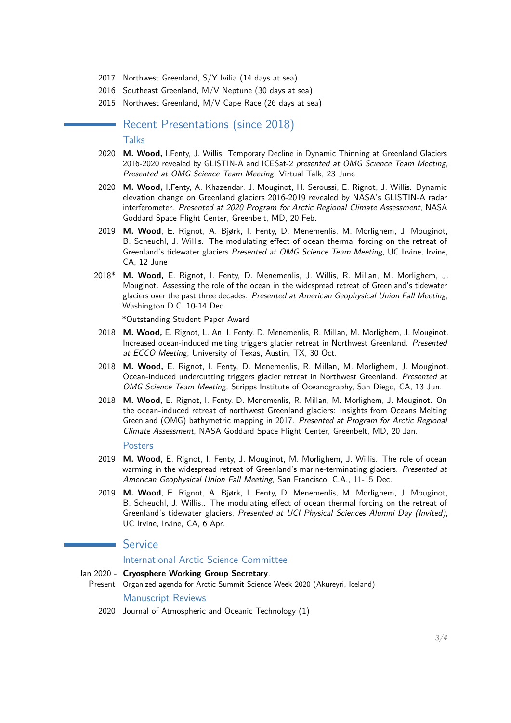- 2017 Northwest Greenland, S/Y Ivilia (14 days at sea)
- 2016 Southeast Greenland, M/V Neptune (30 days at sea)
- 2015 Northwest Greenland, M/V Cape Race (26 days at sea)

Recent Presentations (since 2018) **Talks** 

- 2020 **M. Wood,** I.Fenty, J. Willis. Temporary Decline in Dynamic Thinning at Greenland Glaciers 2016-2020 revealed by GLISTIN-A and ICESat-2 presented at OMG Science Team Meeting, Presented at OMG Science Team Meeting, Virtual Talk, 23 June
- 2020 **M. Wood,** I.Fenty, A. Khazendar, J. Mouginot, H. Seroussi, E. Rignot, J. Willis. Dynamic elevation change on Greenland glaciers 2016-2019 revealed by NASA's GLISTIN-A radar interferometer. Presented at 2020 Program for Arctic Regional Climate Assessment, NASA Goddard Space Flight Center, Greenbelt, MD, 20 Feb.
- 2019 **M. Wood**, E. Rignot, A. Bjørk, I. Fenty, D. Menemenlis, M. Morlighem, J. Mouginot, B. Scheuchl, J. Willis. The modulating effect of ocean thermal forcing on the retreat of Greenland's tidewater glaciers Presented at OMG Science Team Meeting, UC Irvine, Irvine, CA, 12 June
- 2018\* **M. Wood,** E. Rignot, I. Fenty, D. Menemenlis, J. Willis, R. Millan, M. Morlighem, J. Mouginot. Assessing the role of the ocean in the widespread retreat of Greenland's tidewater glaciers over the past three decades. Presented at American Geophysical Union Fall Meeting, Washington D.C. 10-14 Dec.

\*Outstanding Student Paper Award

- 2018 **M. Wood,** E. Rignot, L. An, I. Fenty, D. Menemenlis, R. Millan, M. Morlighem, J. Mouginot. Increased ocean-induced melting triggers glacier retreat in Northwest Greenland. Presented at ECCO Meeting, University of Texas, Austin, TX, 30 Oct.
- 2018 **M. Wood,** E. Rignot, I. Fenty, D. Menemenlis, R. Millan, M. Morlighem, J. Mouginot. Ocean-induced undercutting triggers glacier retreat in Northwest Greenland. Presented at OMG Science Team Meeting, Scripps Institute of Oceanography, San Diego, CA, 13 Jun.
- 2018 **M. Wood,** E. Rignot, I. Fenty, D. Menemenlis, R. Millan, M. Morlighem, J. Mouginot. On the ocean-induced retreat of northwest Greenland glaciers: Insights from Oceans Melting Greenland (OMG) bathymetric mapping in 2017. Presented at Program for Arctic Regional Climate Assessment, NASA Goddard Space Flight Center, Greenbelt, MD, 20 Jan.

#### Posters

- 2019 **M. Wood**, E. Rignot, I. Fenty, J. Mouginot, M. Morlighem, J. Willis. The role of ocean warming in the widespread retreat of Greenland's marine-terminating glaciers. Presented at American Geophysical Union Fall Meeting, San Francisco, C.A., 11-15 Dec.
- 2019 **M. Wood**, E. Rignot, A. Bjørk, I. Fenty, D. Menemenlis, M. Morlighem, J. Mouginot, B. Scheuchl, J. Willis,. The modulating effect of ocean thermal forcing on the retreat of Greenland's tidewater glaciers, Presented at UCI Physical Sciences Alumni Day (Invited), UC Irvine, Irvine, CA, 6 Apr.

### **Service**

#### International Arctic Science Committee

- <span id="page-2-0"></span>Jan 2020 - **Cryosphere Working Group Secretary**. Present Organized agenda for Arctic Summit Science Week 2020 (Akureyri, Iceland) Manuscript Reviews
	- 2020 Journal of Atmospheric and Oceanic Technology (1)